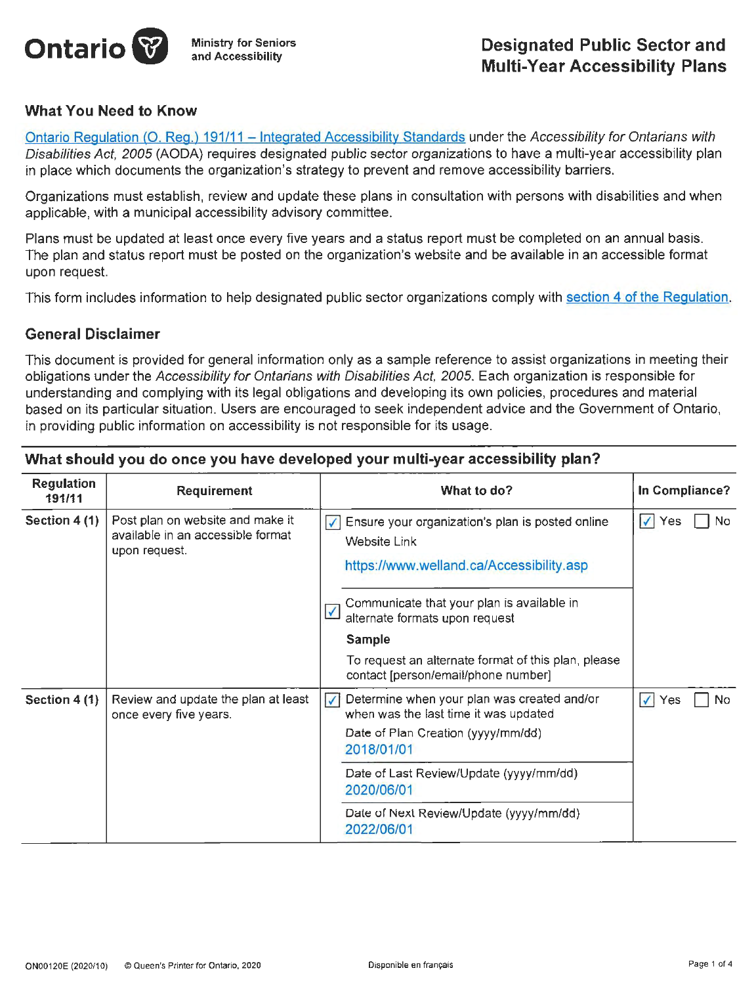

## **What You Need to Know**

Ontario Regulation (O. Reg.) 191/11 - Integrated Accessibility Standards under the Accessibility for Ontarians with Disabilities Act, 2005 (AODA) requires designated public sector organizations to have a multi-year accessibility plan in place which documents the organization's strategy to prevent and remove accessibility barriers.

Organizations must establish, review and update these plans in consultation with persons with disabilities and when applicable, with a municipal accessibility advisory committee.

Plans must be updated at least once every five years and a status report must be completed on an annual basis. The plan and status report must be posted on the organization's website and be available in an accessible format upon request.

This form includes information to help designated public sector organizations comply with section 4 of the Regulation.

## **General Disclaimer**

This document is provided for general information only as a sample reference to assist organizations in meeting their obligations under the Accessibility for Ontarians with Disabilities Act, 2005. Each organization is responsible for understanding and complying with its legal obligations and developing its own policies, procedures and material based on its particular situation. Users are encouraged to seek independent advice and the Government of Ontario, in providing public information on accessibility is not responsible for its usage.

## **What should you do once you have developed your multi-year accessibility plan?**

| <b>Regulation</b><br>191/11 | <b>Requirement</b>                                                                     | What to do?                                                                                                                                                                                                                                                                        | In Compliance?             |
|-----------------------------|----------------------------------------------------------------------------------------|------------------------------------------------------------------------------------------------------------------------------------------------------------------------------------------------------------------------------------------------------------------------------------|----------------------------|
| Section 4 (1)               | Post plan on website and make it<br>available in an accessible format<br>upon request. | Ensure your organization's plan is posted online<br>Website Link<br>https://www.welland.ca/Accessibility.asp<br>Communicate that your plan is available in<br>$\sqrt{ }$<br>alternate formats upon request<br><b>Sample</b><br>To request an alternate format of this plan, please | No.<br>$\checkmark$<br>Yes |
|                             |                                                                                        | contact [person/email/phone number]                                                                                                                                                                                                                                                |                            |
| Section $4(1)$              | Review and update the plan at least<br>once every five years.                          | Determine when your plan was created and/or<br>$\checkmark$<br>when was the last time it was updated<br>Date of Plan Creation (yyyy/mm/dd)<br>2018/01/01                                                                                                                           | $\sqrt{}$<br>No.<br>Yes    |
|                             |                                                                                        | Date of Last Review/Update (yyyy/mm/dd)<br>2020/06/01                                                                                                                                                                                                                              |                            |
|                             |                                                                                        | Date of Next Review/Update (yyyy/mm/dd)<br>2022/06/01                                                                                                                                                                                                                              |                            |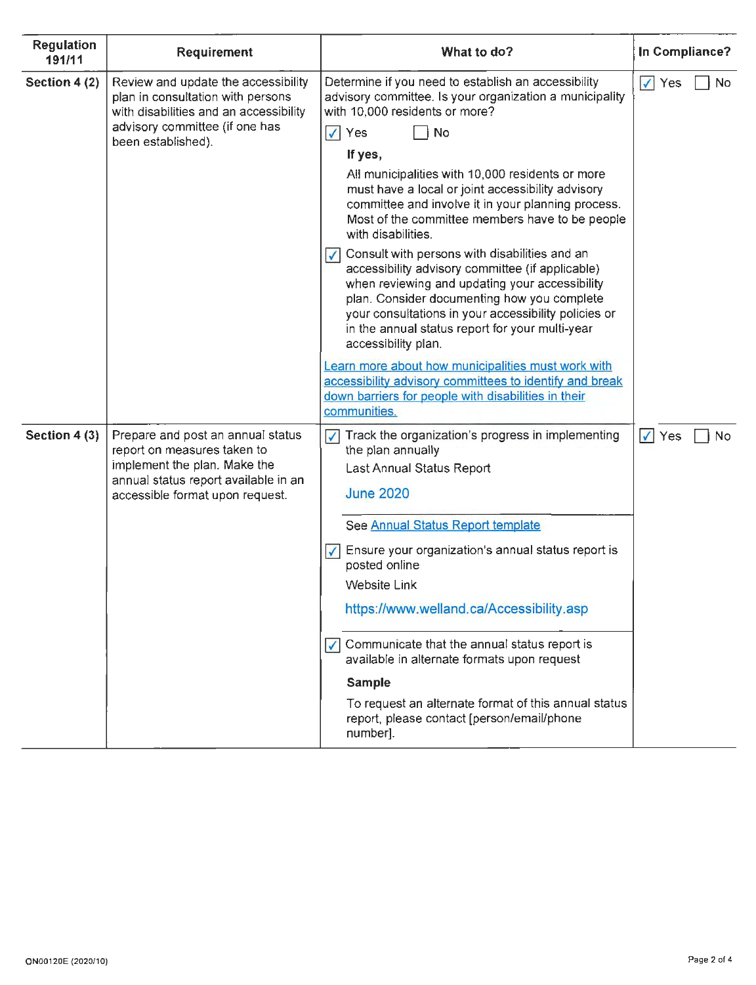| <b>Regulation</b><br>191/11 | <b>Requirement</b>                                                                                                                                                          | What to do?                                                                                                                                                                                                                                                                                                                                    | In Compliance?                   |
|-----------------------------|-----------------------------------------------------------------------------------------------------------------------------------------------------------------------------|------------------------------------------------------------------------------------------------------------------------------------------------------------------------------------------------------------------------------------------------------------------------------------------------------------------------------------------------|----------------------------------|
| Section 4 (2)               | Review and update the accessibility<br>plan in consultation with persons<br>with disabilities and an accessibility<br>advisory committee (if one has<br>been established).  | Determine if you need to establish an accessibility<br>advisory committee. Is your organization a municipality<br>with 10,000 residents or more?                                                                                                                                                                                               | $\sqrt{ }$ Yes<br>No             |
|                             |                                                                                                                                                                             | $\sqrt{Y}$<br>No                                                                                                                                                                                                                                                                                                                               |                                  |
|                             |                                                                                                                                                                             | If yes,                                                                                                                                                                                                                                                                                                                                        |                                  |
|                             |                                                                                                                                                                             | All municipalities with 10,000 residents or more<br>must have a local or joint accessibility advisory<br>committee and involve it in your planning process.<br>Most of the committee members have to be people<br>with disabilities.                                                                                                           |                                  |
|                             |                                                                                                                                                                             | $\sqrt{}$ Consult with persons with disabilities and an<br>accessibility advisory committee (if applicable)<br>when reviewing and updating your accessibility<br>plan. Consider documenting how you complete<br>your consultations in your accessibility policies or<br>in the annual status report for your multi-year<br>accessibility plan. |                                  |
|                             |                                                                                                                                                                             | Learn more about how municipalities must work with<br>accessibility advisory committees to identify and break<br>down barriers for people with disabilities in their<br>communities.                                                                                                                                                           |                                  |
| Section 4 (3)               | Prepare and post an annual status<br>report on measures taken to<br>implement the plan. Make the<br>annual status report available in an<br>accessible format upon request. | Track the organization's progress in implementing<br>$\sqrt{}$<br>the plan annually                                                                                                                                                                                                                                                            | $\checkmark$<br>Yes<br><b>No</b> |
|                             |                                                                                                                                                                             | Last Annual Status Report                                                                                                                                                                                                                                                                                                                      |                                  |
|                             |                                                                                                                                                                             | <b>June 2020</b>                                                                                                                                                                                                                                                                                                                               |                                  |
|                             |                                                                                                                                                                             | See Annual Status Report template                                                                                                                                                                                                                                                                                                              |                                  |
|                             |                                                                                                                                                                             | Ensure your organization's annual status report is<br>posted online                                                                                                                                                                                                                                                                            |                                  |
|                             |                                                                                                                                                                             | <b>Website Link</b>                                                                                                                                                                                                                                                                                                                            |                                  |
|                             |                                                                                                                                                                             | https://www.welland.ca/Accessibility.asp                                                                                                                                                                                                                                                                                                       |                                  |
|                             |                                                                                                                                                                             | Communicate that the annual status report is<br>available in alternate formats upon request                                                                                                                                                                                                                                                    |                                  |
|                             |                                                                                                                                                                             | <b>Sample</b>                                                                                                                                                                                                                                                                                                                                  |                                  |
|                             |                                                                                                                                                                             | To request an alternate format of this annual status<br>report, please contact [person/email/phone<br>number].                                                                                                                                                                                                                                 |                                  |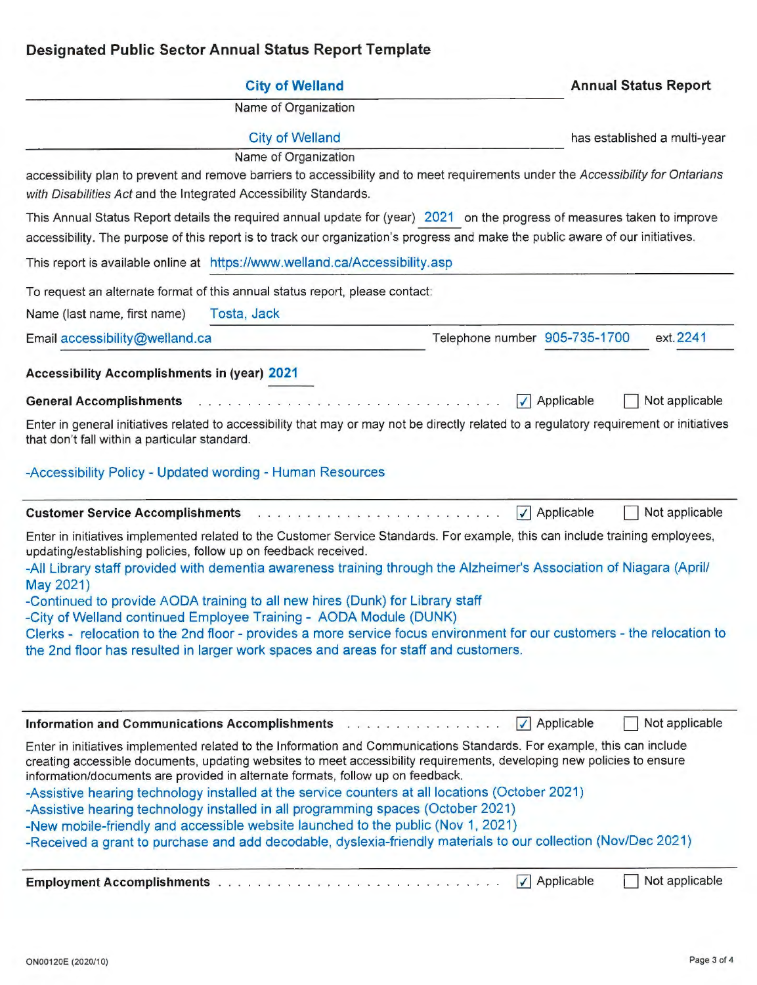## **Designated Public Sector Annual Status Report Template**

| <b>City of Welland</b>                                                                                                                                                                                                                                                                                                               | <b>Annual Status Report</b>                       |  |  |  |  |
|--------------------------------------------------------------------------------------------------------------------------------------------------------------------------------------------------------------------------------------------------------------------------------------------------------------------------------------|---------------------------------------------------|--|--|--|--|
| Name of Organization                                                                                                                                                                                                                                                                                                                 |                                                   |  |  |  |  |
| <b>City of Welland</b>                                                                                                                                                                                                                                                                                                               | has established a multi-year                      |  |  |  |  |
| Name of Organization                                                                                                                                                                                                                                                                                                                 |                                                   |  |  |  |  |
| accessibility plan to prevent and remove barriers to accessibility and to meet requirements under the Accessibility for Ontarians<br>with Disabilities Act and the Integrated Accessibility Standards.                                                                                                                               |                                                   |  |  |  |  |
| This Annual Status Report details the required annual update for (year) 2021 on the progress of measures taken to improve<br>accessibility. The purpose of this report is to track our organization's progress and make the public aware of our initiatives.                                                                         |                                                   |  |  |  |  |
| This report is available online at https://www.welland.ca/Accessibility.asp                                                                                                                                                                                                                                                          |                                                   |  |  |  |  |
| To request an alternate format of this annual status report, please contact:                                                                                                                                                                                                                                                         |                                                   |  |  |  |  |
| Tosta, Jack<br>Name (last name, first name)                                                                                                                                                                                                                                                                                          |                                                   |  |  |  |  |
| Email accessibility@welland.ca                                                                                                                                                                                                                                                                                                       | Telephone number 905-735-1700<br>ext. 2241        |  |  |  |  |
| <b>Accessibility Accomplishments in (year) 2021</b>                                                                                                                                                                                                                                                                                  |                                                   |  |  |  |  |
| <b>General Accomplishments</b>                                                                                                                                                                                                                                                                                                       | $\sqrt{\phantom{a}}$ Applicable<br>Not applicable |  |  |  |  |
| Enter in general initiatives related to accessibility that may or may not be directly related to a regulatory requirement or initiatives<br>that don't fall within a particular standard.                                                                                                                                            |                                                   |  |  |  |  |
| -Accessibility Policy - Updated wording - Human Resources                                                                                                                                                                                                                                                                            |                                                   |  |  |  |  |
| <b>Customer Service Accomplishments entitledies and contain the Customer Service Accomplishments</b>                                                                                                                                                                                                                                 | $\sqrt{\phantom{a}}$ Applicable<br>Not applicable |  |  |  |  |
| Enter in initiatives implemented related to the Customer Service Standards. For example, this can include training employees,<br>updating/establishing policies, follow up on feedback received.<br>-All Library staff provided with dementia awareness training through the Alzheimer's Association of Niagara (April/              |                                                   |  |  |  |  |
| May 2021)                                                                                                                                                                                                                                                                                                                            |                                                   |  |  |  |  |
| -Continued to provide AODA training to all new hires (Dunk) for Library staff<br>-City of Welland continued Employee Training - AODA Module (DUNK)                                                                                                                                                                                   |                                                   |  |  |  |  |
| Clerks - relocation to the 2nd floor - provides a more service focus environment for our customers - the relocation to<br>the 2nd floor has resulted in larger work spaces and areas for staff and customers.                                                                                                                        |                                                   |  |  |  |  |
|                                                                                                                                                                                                                                                                                                                                      |                                                   |  |  |  |  |
| Information and Communications Accomplishments [1] [1] Information and Communications Accomplishments [1] [1] $\frac{1}{2}$                                                                                                                                                                                                          | $\sqrt{\phantom{a}}$ Applicable<br>Not applicable |  |  |  |  |
| Enter in initiatives implemented related to the Information and Communications Standards. For example, this can include<br>creating accessible documents, updating websites to meet accessibility requirements, developing new policies to ensure<br>information/documents are provided in alternate formats, follow up on feedback. |                                                   |  |  |  |  |
| -Assistive hearing technology installed at the service counters at all locations (October 2021)<br>-Assistive hearing technology installed in all programming spaces (October 2021)                                                                                                                                                  |                                                   |  |  |  |  |
| -New mobile-friendly and accessible website launched to the public (Nov 1, 2021)                                                                                                                                                                                                                                                     |                                                   |  |  |  |  |
| -Received a grant to purchase and add decodable, dyslexia-friendly materials to our collection (Nov/Dec 2021)                                                                                                                                                                                                                        |                                                   |  |  |  |  |
|                                                                                                                                                                                                                                                                                                                                      | Not applicable<br>$\sqrt{\phantom{a}}$ Applicable |  |  |  |  |